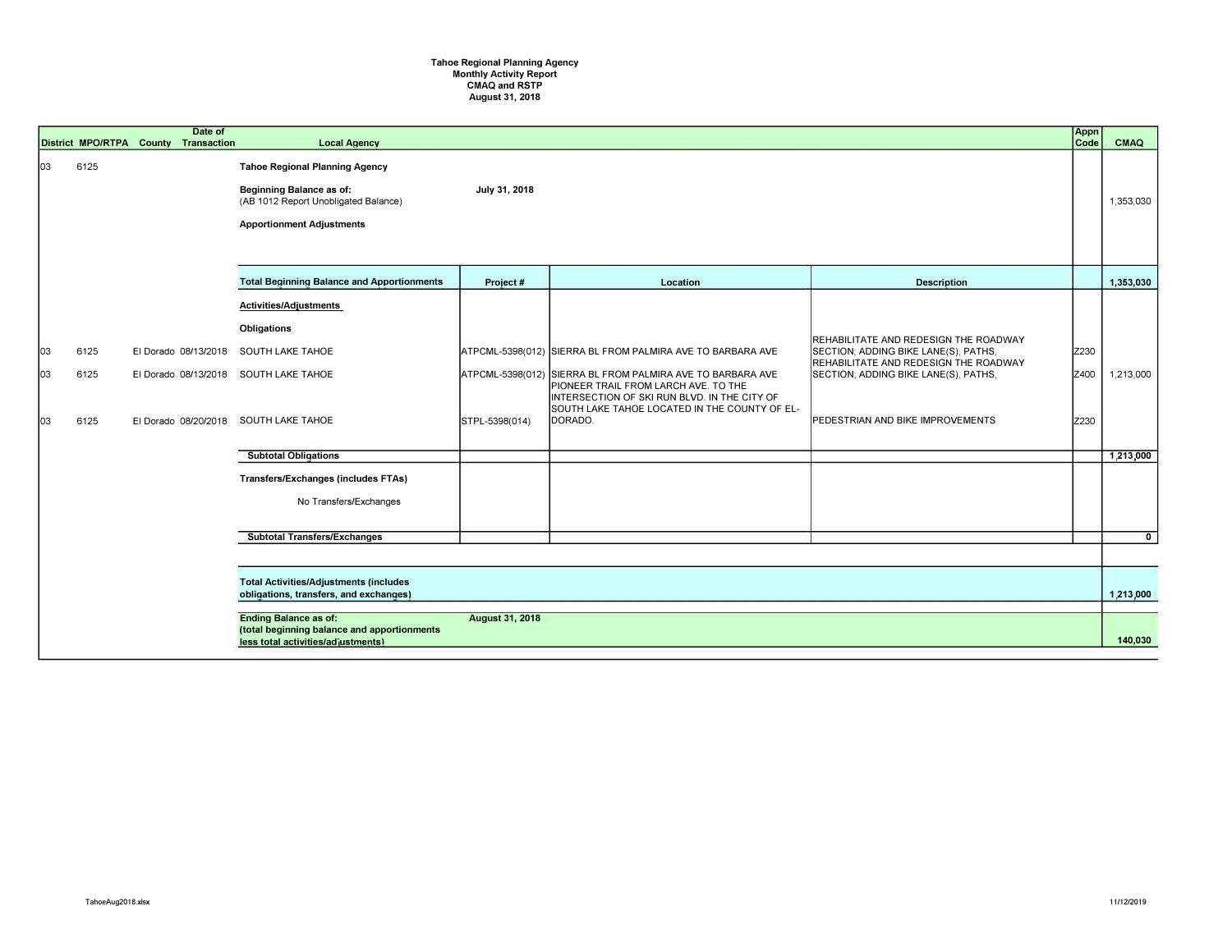## **Tahoe Regional Planning Agency Monthly Activity Report CMAQ and RSTP August 31, 2018**

|                  |                      | Date of<br>District MPO/RTPA County Transaction | <b>Local Agency</b>                                                                                                                                                                                                                                       |                        |                                                                                                                                                                                                                                                                              |                                                                                                                                                                                                           | Appn<br>Code         | CMAQ                   |
|------------------|----------------------|-------------------------------------------------|-----------------------------------------------------------------------------------------------------------------------------------------------------------------------------------------------------------------------------------------------------------|------------------------|------------------------------------------------------------------------------------------------------------------------------------------------------------------------------------------------------------------------------------------------------------------------------|-----------------------------------------------------------------------------------------------------------------------------------------------------------------------------------------------------------|----------------------|------------------------|
| 03               | 6125                 |                                                 | <b>Tahoe Regional Planning Agency</b><br>Beginning Balance as of:<br>(AB 1012 Report Unobligated Balance)<br><b>Apportionment Adjustments</b>                                                                                                             | July 31, 2018          |                                                                                                                                                                                                                                                                              |                                                                                                                                                                                                           |                      | 1,353,030              |
|                  |                      |                                                 | <b>Total Beginning Balance and Apportionments</b>                                                                                                                                                                                                         | Project#               | Location                                                                                                                                                                                                                                                                     | <b>Description</b>                                                                                                                                                                                        |                      | 1,353,030              |
| 03<br>loз<br> оз | 6125<br>6125<br>6125 | El Dorado 08/13/2018                            | Activities/Adjustments<br>Obligations<br><b>SOUTH LAKE TAHOE</b><br>El Dorado 08/13/2018 SOUTH LAKE TAHOE<br>El Dorado 08/20/2018 SOUTH LAKE TAHOE<br><b>Subtotal Obligations</b><br><b>Transfers/Exchanges (includes FTAs)</b><br>No Transfers/Exchanges | STPL-5398(014)         | ATPCML-5398(012) SIERRA BL FROM PALMIRA AVE TO BARBARA AVE<br>ATPCML-5398(012) SIERRA BL FROM PALMIRA AVE TO BARBARA AVE<br>PIONEER TRAIL FROM LARCH AVE. TO THE<br>INTERSECTION OF SKI RUN BLVD. IN THE CITY OF<br>SOUTH LAKE TAHOE LOCATED IN THE COUNTY OF EL-<br>DORADO. | REHABILITATE AND REDESIGN THE ROADWAY<br>SECTION; ADDING BIKE LANE(S), PATHS,<br>REHABILITATE AND REDESIGN THE ROADWAY<br>SECTION: ADDING BIKE LANE(S), PATHS,<br><b>PEDESTRIAN AND BIKE IMPROVEMENTS</b> | Z230<br>Z400<br>Z230 | 1,213,000<br>1,213,000 |
|                  |                      |                                                 | <b>Subtotal Transfers/Exchanges</b>                                                                                                                                                                                                                       |                        |                                                                                                                                                                                                                                                                              |                                                                                                                                                                                                           |                      | $\overline{0}$         |
|                  |                      |                                                 |                                                                                                                                                                                                                                                           |                        |                                                                                                                                                                                                                                                                              |                                                                                                                                                                                                           |                      |                        |
|                  |                      |                                                 | <b>Total Activities/Adjustments (includes</b><br>obligations, transfers, and exchanges)                                                                                                                                                                   |                        |                                                                                                                                                                                                                                                                              |                                                                                                                                                                                                           |                      | 1,213,000              |
|                  |                      |                                                 | <b>Ending Balance as of:</b><br>(total beginning balance and apportionments<br>less total activities/adjustments)                                                                                                                                         | <b>August 31, 2018</b> |                                                                                                                                                                                                                                                                              |                                                                                                                                                                                                           |                      | 140.030                |